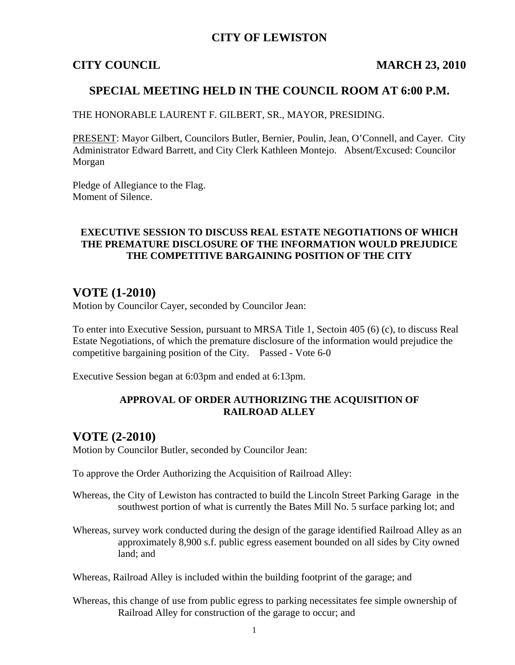## **CITY OF LEWISTON**

#### **CITY COUNCIL MARCH 23, 2010**

### **SPECIAL MEETING HELD IN THE COUNCIL ROOM AT 6:00 P.M.**

THE HONORABLE LAURENT F. GILBERT, SR., MAYOR, PRESIDING.

PRESENT: Mayor Gilbert, Councilors Butler, Bernier, Poulin, Jean, O'Connell, and Cayer. City Administrator Edward Barrett, and City Clerk Kathleen Montejo. Absent/Excused: Councilor Morgan

Pledge of Allegiance to the Flag. Moment of Silence.

#### **EXECUTIVE SESSION TO DISCUSS REAL ESTATE NEGOTIATIONS OF WHICH THE PREMATURE DISCLOSURE OF THE INFORMATION WOULD PREJUDICE THE COMPETITIVE BARGAINING POSITION OF THE CITY**

## **VOTE (1-2010)**

Motion by Councilor Cayer, seconded by Councilor Jean:

To enter into Executive Session, pursuant to MRSA Title 1, Sectoin 405 (6) (c), to discuss Real Estate Negotiations, of which the premature disclosure of the information would prejudice the competitive bargaining position of the City. Passed - Vote 6-0

Executive Session began at 6:03pm and ended at 6:13pm.

#### **APPROVAL OF ORDER AUTHORIZING THE ACQUISITION OF RAILROAD ALLEY**

### **VOTE (2-2010)**

Motion by Councilor Butler, seconded by Councilor Jean:

To approve the Order Authorizing the Acquisition of Railroad Alley:

- Whereas, the City of Lewiston has contracted to build the Lincoln Street Parking Garage in the southwest portion of what is currently the Bates Mill No. 5 surface parking lot; and
- Whereas, survey work conducted during the design of the garage identified Railroad Alley as an approximately 8,900 s.f. public egress easement bounded on all sides by City owned land; and

Whereas, Railroad Alley is included within the building footprint of the garage; and

Whereas, this change of use from public egress to parking necessitates fee simple ownership of Railroad Alley for construction of the garage to occur; and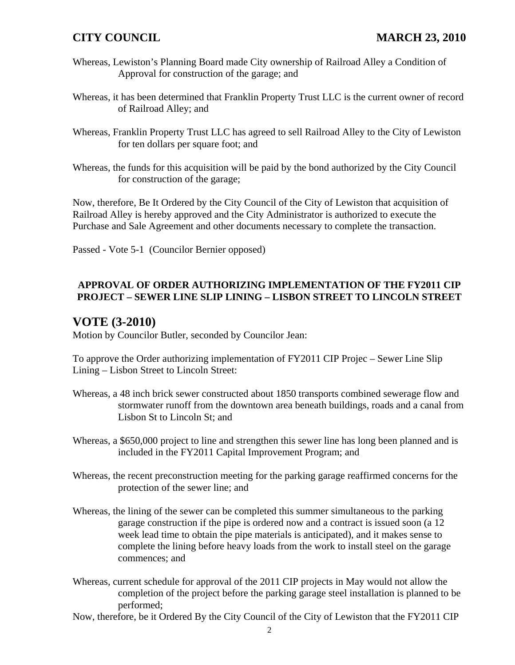- Whereas, Lewiston's Planning Board made City ownership of Railroad Alley a Condition of Approval for construction of the garage; and
- Whereas, it has been determined that Franklin Property Trust LLC is the current owner of record of Railroad Alley; and
- Whereas, Franklin Property Trust LLC has agreed to sell Railroad Alley to the City of Lewiston for ten dollars per square foot; and
- Whereas, the funds for this acquisition will be paid by the bond authorized by the City Council for construction of the garage;

Now, therefore, Be It Ordered by the City Council of the City of Lewiston that acquisition of Railroad Alley is hereby approved and the City Administrator is authorized to execute the Purchase and Sale Agreement and other documents necessary to complete the transaction.

Passed - Vote 5-1 (Councilor Bernier opposed)

### **APPROVAL OF ORDER AUTHORIZING IMPLEMENTATION OF THE FY2011 CIP PROJECT – SEWER LINE SLIP LINING – LISBON STREET TO LINCOLN STREET**

# **VOTE (3-2010)**

Motion by Councilor Butler, seconded by Councilor Jean:

To approve the Order authorizing implementation of FY2011 CIP Projec – Sewer Line Slip Lining – Lisbon Street to Lincoln Street:

- Whereas, a 48 inch brick sewer constructed about 1850 transports combined sewerage flow and stormwater runoff from the downtown area beneath buildings, roads and a canal from Lisbon St to Lincoln St; and
- Whereas, a \$650,000 project to line and strengthen this sewer line has long been planned and is included in the FY2011 Capital Improvement Program; and
- Whereas, the recent preconstruction meeting for the parking garage reaffirmed concerns for the protection of the sewer line; and
- Whereas, the lining of the sewer can be completed this summer simultaneous to the parking garage construction if the pipe is ordered now and a contract is issued soon (a 12 week lead time to obtain the pipe materials is anticipated), and it makes sense to complete the lining before heavy loads from the work to install steel on the garage commences; and
- Whereas, current schedule for approval of the 2011 CIP projects in May would not allow the completion of the project before the parking garage steel installation is planned to be performed;
- Now, therefore, be it Ordered By the City Council of the City of Lewiston that the FY2011 CIP